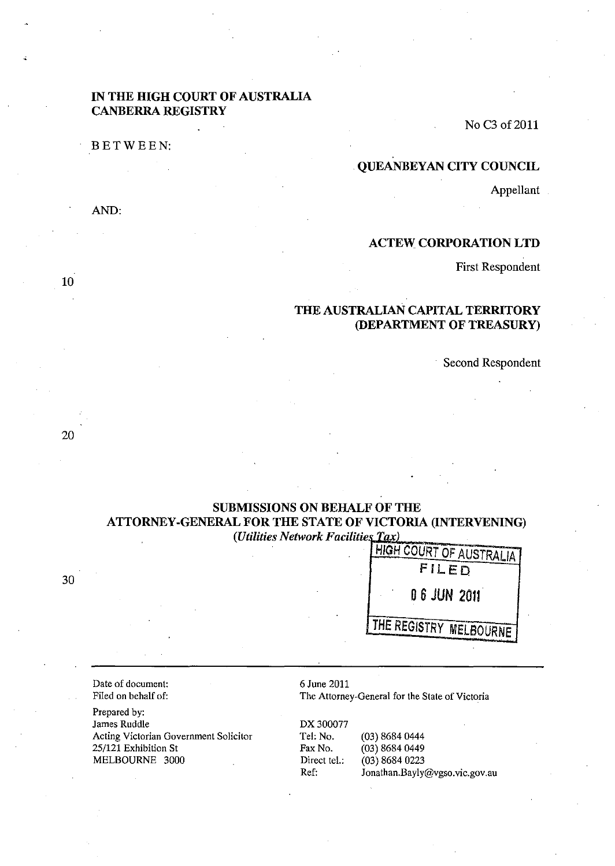## IN THE HIGH COURT OF AUSTRALIA CANBERRA REGISTRY

BETWEEN:

AND:

No C3 of 2011

# . QUEANBEYAN CITY COUNCIL

Appellant

# ACTEW CORPORATION LTD

First Respondent

# THE AUSTRALIAN CAPITAL TERRITORY (DEPARTMENT OF TREASURY)

Second Respondent

# SUBMISSIONS ON BEHALF OF THE ATTORNEY-GENERAL FOR THE STATE OF VICTORIA (INTERVENING) *(Utilities Network Facilities Tax)*

30

HIGH COURT OF AUSTRALIA FILED 06 JUN 2011 THE REGISTRY MELBOURNE

Date of document: Filed on behalf of:

Prepared by: James Ruddle Acting Victorian Government Solicitor 25/121 Exhibition St MELBOURNE 3000

6 June 2011

The Attorney-General for the State of Victoria

DX 300077 Tel: No. (03) 8684 0444<br>Fax No. (03) 8684 0449  $(03)$  8684 0449 Direct tel.: (03) 8684 0223 Ref: Jonathan.Bayly@vgso.vic.gov.au

10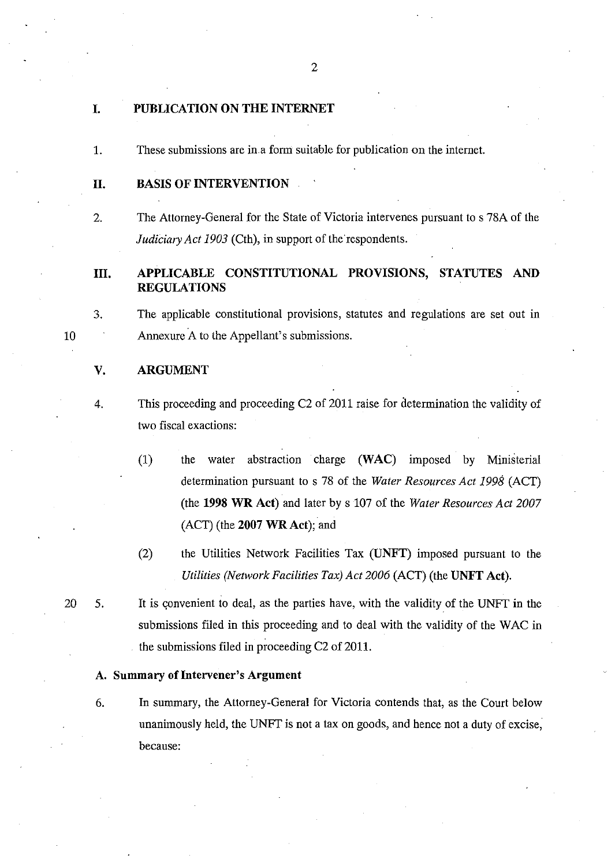#### I. PUBLICATION ON THE INTERNET

1. These submissions are in.a form suitable for publication on the interne!.

## 11. BASIS OF INTERVENTION

2. The Attorney-General for the State of Victoria intervenes pursuant to s 78A of the *Judiciary Act 1903* (Cth), in support of the respondents.

# III. APPLICABLE CONSTITUTIONAL PROVISIONS, STATUTES AND REGULATIONS

3. The applicable constitutional provisions, statutes and regulations are set out in Annexure A to the Appellant's submissions.

### V. ARGUMENT

- 4. This proceeding and proceeding C2 of 2011 raise for determination the validity of two fiscal exactions:
	- (1) the water abstraction charge (WAC) imposed by Ministerial determination pursuant to s 78 of the *Water Resources Act* 1998 (ACT) (the 1998 WR Act) and later by s 107 of the *Water Resources Act 2007*   $(ACT)$  (the 2007 WR Act); and
	- (2) the Utilities Network Facilities Tax (UNFT) imposed pursuant to the *Utilities (Network Facilities Tax) Act 2006* (ACT) (the UNFT Act).

20 5. It is convenient to deal, as the parties have, with the validity of the UNFT in the submissions filed in this proceeding and to deal with the validity of the WAC in . the submissions filed in proceeding C2 of 2011.

#### A. Summary of Intervener's Argument

6. In summary, the Attorney-General for Victoria contends that, as the Court below unanimously held, the UNFT is not a tax on goods, and hence not a duty of excise, because:

10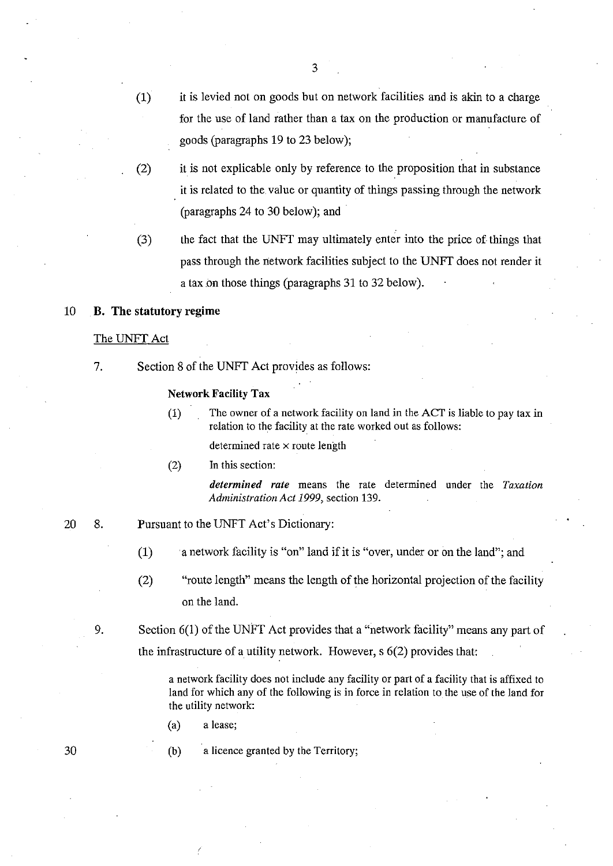(1) it is levied not on goods but on network facilities and is akin to a charge for the use of land rather than a tax on the production or manufacture of goods (paragraphs 19 to 23 below);

3

- (2) it is not explicable only by reference to the proposition that in substance it is related to the value or quantity of things passing through the network (paragraphs 24 to 30 below); and .
- (3) the fact that the UNFT may ultimately enter into the price of things that pass through the network facilities subject to the UNFT does not render it a tax.on those things (paragraphs 31 to 32 below).

## 10 B. The **statutory** regime

#### The UNFT Act

7. Section 8 of the UNFf Act provides as follows:

#### Network Facility Tax

- (1) The owner of a network facility on land in the ACT is liable to pay tax in relation to the facility at the rate worked out as follows: determined rate  $\times$  route length
- (2) In this section:

*determined rate* means the rate determined under the *Taxation Administration Act* 1999, section 139.

- 20 8. Pursuant to the UNFT Act's Dictionary:
	- (1) a uetwork facility is "on" land ifit is "over, under or on the land"; and
	- (2) "route length" means the length of the horizontal projection of the facility on the land.

9. Section 6(1) of the UNFT Act provides that a "network facility" means any part of the infrastructure of a utility network. However, s 6(2) provides that:

> a network facility does not include any facility or part of a facility that is affixed to land for which any of the following is in force in relation to the use of the land for the utility network:

(a) a lease;

(b) a licence granted by the Territory;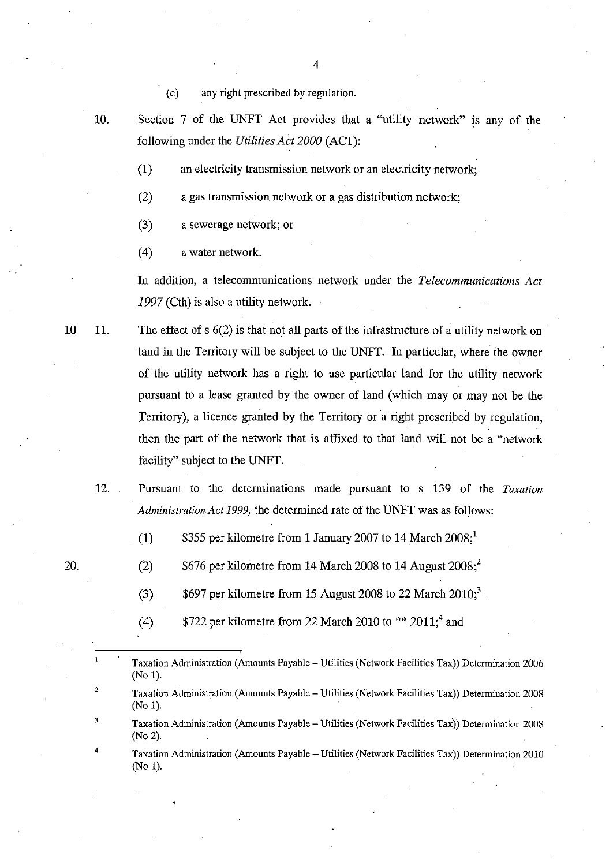( c) any right prescribed by regulation.

10. Section 7 of the UNFT Act provides that a "utility network" is any of the following under the *Utilities Act 2000* (ACT):

(1) an electricity transmission network or an electricity network;

(2) a gas transmission network or a gas distribution network;

(3) a sewerage network; or

(4) a water network.

**In** addition, a telecommunications network under the *Telecommunications Act*  1997 (Cth) is also a utility network.

10 11. The effect of s 6(2) is that not all parts of the infrastructure of a utility network on land in the Territory will be subject to the UNFT. **In** particular, where ihe owner of the utility network has a right to use particular land for the utility network pursuant to a lease granted by the owner of land (which mayor may not be the Territory), a licence granted by the Territory or a right prescribed by regulation. then the part of the network that is affixed to that land will not be a "network facility" subject to the UNFT.

12. Pursuant to the determinations made pursuant to s 139 of the *Taxation Administration Act* 1999, the determined rate of the UNFT was as follows:

(1)  $$355$  per kilometre from 1 January 2007 to 14 March 2008;<sup>1</sup>

(2)  $$676$  per kilometre from 14 March 2008 to 14 August 2008;<sup>2</sup>

(3)  $$697$  per kilometre from 15 August 2008 to 22 March 2010;<sup>3</sup>

(4)  $$722$  per kilometre from 22 March 2010 to \*\* 2011;<sup>4</sup> and

Taxation Administration (Amounts Payable - Utilities (Network Facilities Tax)) Determination 2006 (No 1).

Taxation Administration (Amounts Payable - Utilities (Network Facilities Tax)) Determination 2008 (No 1).

Taxation Administration (Amounts Payable - Utilities (Network Facilities Tax)) Determination 2008 (No 2).

Taxation Administration (Amounts Payable - Utilities (Network Facilities Tax)) Determination 2010 (No 1).

20.

2

3

4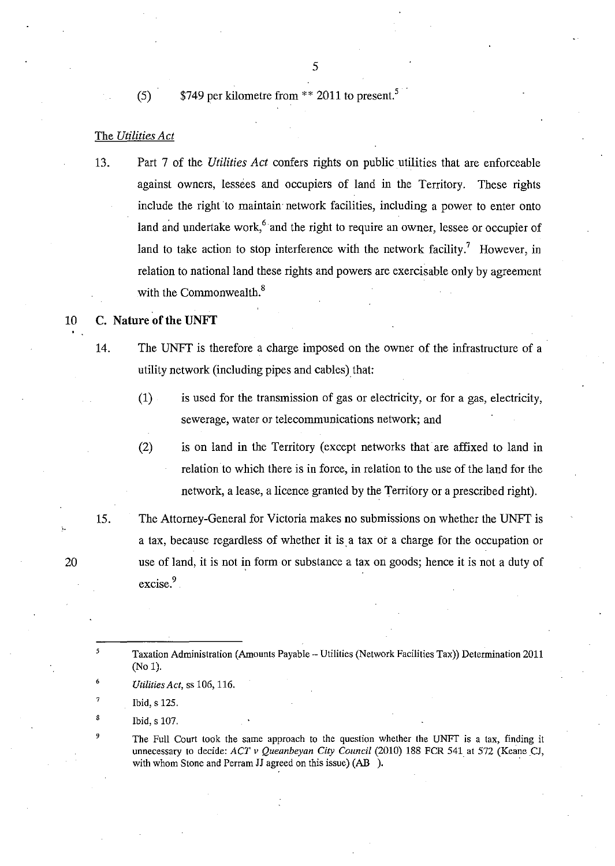(5)  $$749$  per kilometre from \*\* 2011 to present.<sup>5</sup>

### The *Utilities Act*

13. Part 7 of the *Utilities Act* confers rights on public utilities that are enforceable against owners, lessees and occupiers of land in the Territory. These rights include the right to maintain network facilities, including a power to enter onto land and undertake work,<sup>6</sup> and the right to require an owner, lessee or occupier of land to take action to stop interference with the network facility.<sup>7</sup> However, in relation to national land these rights and powers are exercisable only by agreement with the Commonwealth. $8$ 

# 10 C. **Nature of the UNFT**

14. The UNFT is therefore a charge imposed on the owner of the infrastructure of a utility network (including pipes and cables) that:

- (1) is used for the transmission of gas or electricity, or for a gas, electricity, sewerage, water or telecommunications network; and
- (2) is on land in the Territory (except networks that are affixed to land in relation to which there is in force, in relation to the use of the land for the network, a lease, a licence granted by the Territory or a prescribed right).
- 15. The Attorney-General for Victoria makes no submissions on whether the UNFr is a tax, because regardless of whether it is a tax or a charge for the occupation or use of land, it is not in form or substance a tax on goods; hence it is not a duty of excise.<sup>9</sup>
	- Taxation Administration (Amounts Payable Utilities (Network Facilities Tax)) Determination 2011 (No 1).
		- *Utilities Act,* ss 106, 116.
		- Ibid, s 125.
	- Ibid, s 107.

The Full Court took the same approach to the question whether the UNFT is a tax, finding it unnecessary to decide: *ACT v Queanbeyan City Council* (2010) 188 FCR 541 at 572 (Keane CJ, with whom Stone and Perram JJ agreed on this issue) (AB ).

20

5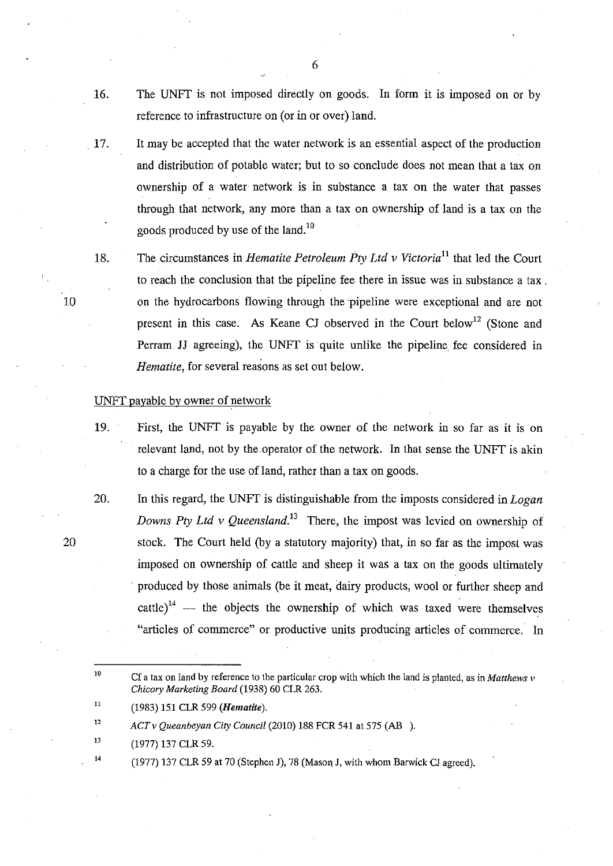16. The UNFT is not imposed directly on goods. In form it is imposed on or by reference to infrastructure on (or in or over) land.

. 17. It may be accepted that the water network is an essential aspect of the production and distribution of potable water; but to so conclude does not mean that a tax on ownership of a water network is in substance a tax on the water that passes through that network, any more than a tax on ownership of land is a tax on the goods produced by use of the land.<sup>10</sup>

18. The circumstances in *Hematite Petroleum FtyLtd v Victoria*ll that led the Court to reach the conclusion that the pipeline fee there in issue was in substance a tax. on the hydrocarbons flowing through the pipeline were exceptional and are not present in this case. As Keane CJ observed in the Court below<sup>12</sup> (Stone and Perram JJ agreeing), the UNFT is· quite unlike the pipeline fee considered in *Hematite,* for several reasons as set out below.

#### UNFT payable by owner of network

19. First, the UNFT is payable by the owner of the network in so far as it is on relevant land, not by the operator of the network. In that sense the UNFT is akin to a charge for the use of land, rather than a tax on goods.

20. In this regard, the UNFT is distinguishable from the imposts considered in *Logan Downs Pty Ltd v Queensland.*<sup>13</sup> There, the impost was levied on ownership of stock. The Court held (by a statutory majority) that, in so far as the impost was imposed on ownership of cattle and sheep it was a tax on the goods ultimately . produced by those animals (be it meat, dairy products, wool or further sheep and cattle $i^4$  - the objects the ownership of which was taxed were themselves "articles of commerce" or productive units producing articles of commerce. In

10 Cf a tax on land by reference to the particular crop with which the land is planted, as in *Matthews* v *Chicory Marketing Board* (1938) 60 CLR 263.

- 13 (1977) 137 CLR 59.
- 14  $(1977)$  137 CLR 59 at 70 (Stephen J), 78 (Mason J, with whom Barwick CJ agreed).

6

20

<sup>11</sup>  (1983) 151 CLR 599 *(Hematite).* 

<sup>12</sup>  *ACT* v *Queanbeyan City Council* (2010) 188 FCR 541 at 575 (AB ).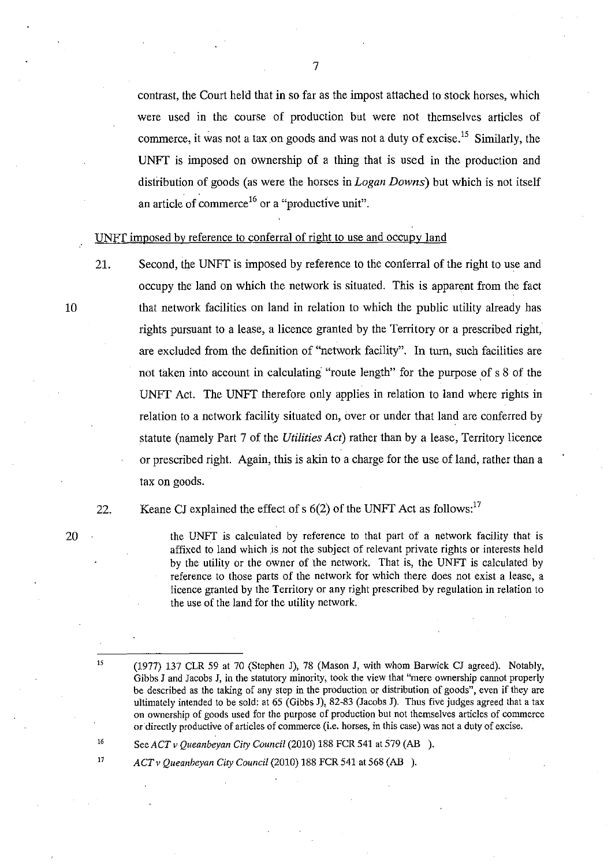contrast, the Court held that in so far as the impost attached to stock horses, which were used in the course of production but were not themselves articles of commerce, it was not a tax on goods and was not a duty of excise.<sup>15</sup> Similarly, the UNFf is imposed on ownership of a thing that is used in the production and distribution of goods (as were the horses in *Logan Downs)* but which is not itself an article of commerce<sup>16</sup> or a "productive unit".

UNFT imposed by reference to conferral of right to use and occupy land

21. Second, the UNFT is imposed by reference to the conferral of the right to use and occupy the land on which the network is situated. This is apparent from the fact that network facilities on land in relation to which the public utility already has rights pursuant to a lease, a licence granted by the Territory or a prescribed right, are excluded from the defmition of "network facility". In turn, such facilities are not taken into account in calculating "route length" for the purpose of s 8 of the UNFf Act. The UNFr therefore only applies in relation to land where rights in relation to a network facility situated on, over or under that land are conferred by statute (namely Part 7 of the *Utilities Act)* rather than by a lease, Territory licence or prescribed right. Again, this is akin to a charge for the use of land, rather than a tax on goods.

Keane CJ explained the effect of s  $6(2)$  of the UNFT Act as follows:<sup>17</sup>

the *UNFT* is calculated by reference to that part of a network facility that is affixed to land which is not the subject of relevant private rights or interests held by the utility or the owner of the network. That is, the *UNFT* is calculated by reference to those parts of the network for which there does not exist a lease, a licence granted by the Territory or any right prescribed by regulation in relation to the use of the land for the utility network.

*SeeACTv Queanbeyan City Council* (2010) 188 FCR 541 at 579 (AB ).

*ACT v Queanbeyan City Council* (2010) 188 FCR 541 at 568 (AB ).

10

20

22.

15

<sup>(1977) 137</sup> CLR 59 at 70 (Stephen J), 78 (Mason J, with whom Barwick CJ agreed). Notably, Gibbs J and Jacobs J, in the statutory minority, took the view that "mere ownership cannot properly be described as the taking of any step in the production or distribution of goods", even if they are ultimately intended to be sold: at 65 (Gibbs J), 82-83 (Jacobs J). Thus five judges agreed that a tax on ownership of goods used for the purpose of production but not themselves articles of commerce **or directly productive of articles of commerce (i.e. horses, in this case) was not a duty of excise.**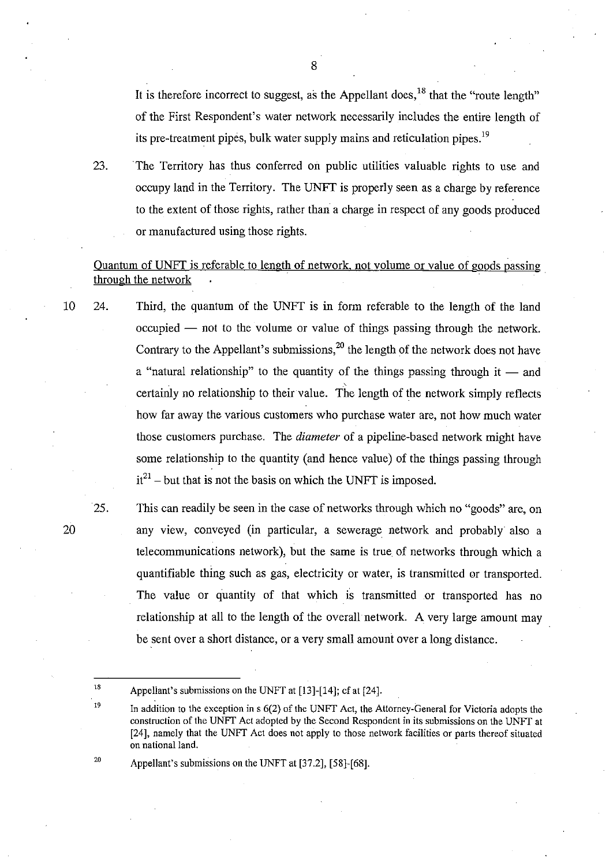It is therefore incorrect to suggest, as the Appellant does,  $^{18}$  that the "route length" of the First Respondent's water network necessarily includes the entire length of its pre-treatment pipes, bulk water supply mains and reticulation pipes.<sup>19</sup>

23. The Territory has thus conferred on public utilities valuable rights to use and occupy land in the Territory. The UNFT is properly seen as a charge by reference to the extent of those rights, rather than a charge in respect of any goods produced or manufactured using those rights. occupy land in the Territory. The UNFT is properly seen as a charge by reference<br>to the extent of those rights, rather than a charge in respect of any goods produced<br>or manufactured using those rights.<br>Quantum of UNFT is r

# Quantum of UNFT is referable to length of network, not volume or value of goods passing

- 24. Third, the quantum of the UNFT is in form referable to the length of the land  $occupied$  - not to the volume or value of things passing through the network. Contrary to the Appellant's submissions,<sup>20</sup> the length of the network does not have a "natural relationship" to the quantity of the things passing through it  $-$  and certainly no relationship to their value. The length of the network simply reflects how far away the various customers who purchase water are, not how much water those customers purchase. The *diameter* of a pipeline-based network might have some relationship to the quantity (and hence value) of the things passing through  $it^{21}$  – but that is not the basis on which the UNFT is imposed.
- 20

25.

19

20

10

This can readily be seen in the case of networks through which no "goods" are, on any view, conveyed (in particular, a sewerage network and probably also a telecommunications network), but the same is true of networks through which a quantifiable thing such as gas, electricity or water, is transmitted or transported. The value or quantity of that which is transmitted or transported has no relationship at all to the length of the overall network. A very large amount may be sent over a short distance, or a very small amount over a long distance.

Appellant's submissions on the UNFT at [37.2], [58]-[68].

<sup>18</sup>  Appellant's submissions on the UNFT at [13]-[14]; cf at [24].

In addition to the exception in  $s(2)$  of the UNFT Act, the Attorney-General for Victoria adopts the construction of the UNFT Act adopted by the Second Respondent in its submissions on the UNFT at [24], namely that the UNFT Act does not apply to those network facilities or parts thereof situated **on** national land.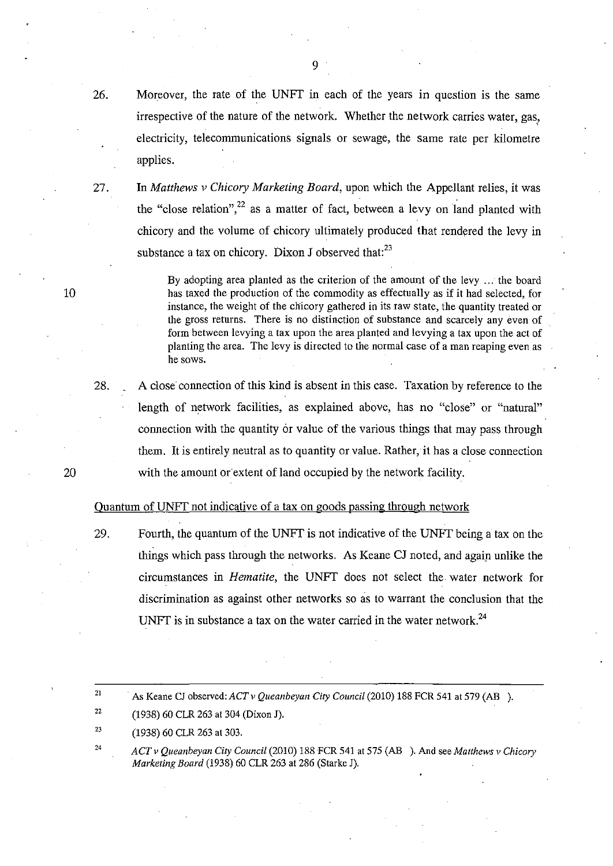26. Moreover, the rate of the UNFT in each of the years in question is the same irrespective of the nature of the network. Whether the network carries water, gas, electricity, telecommunications signals or sewage, the same rate per kilometre applies.

27. **In** *Matthews* v *Chicory Marketing Board,* upon which the Appellant relies, it was the "close relation",<sup>22</sup> as a matter of fact, between a levy on land planted with chicory and the volume of chicory ultimately produced that rendered the levy in substance a tax on chicory. Dixon J observed that: $^{23}$ 

> By adopting area planted as the criterion of the amount of the levy ... the board has taxed the production of the commodity as effectually as if it had selected, for instance, the weight of the chicory gathered in its raw state, the quantity treated or the gross returns. There is no distinction of substance and scarcely any even of form between levying a tax upon the area planted and levying a tax upon the act of planting the area. The levy is directed to the normal case of a man reaping even as he sows.

A close connection of this kind is absent in this case. Taxation by reference to the length of network facilities, as explained above, has no "close" or "natural" connection with the quantity or value of the various things that may pass through them. It is entirely neutral as to quantity or value. Rather, it has a close connection with the amount or extent of land occupied by the network facility.

# Quantum of UNFT not indicative of a tax on goods passing through network

29. Fourth, the quantum of the UNFT is not indicative of the UNFT being a tax on the things which pass through the networks. As Keane CJ noted, and agaip unlike the circumstances in *Hematite*, the UNFT does not select the water network for discrimination as against other networks so as to warrant the conclusion that the UNFT is in substance a tax on the water carried in the water network.<sup>24</sup>

21 . As Keane CJ observed: *ACT* v *Queanbeyan City Council* (2010) 188 FCR 541 at 579 (AB ).

- 22 (1938) 60 CLR 263 at 304 (Dixon J).
- 23 (1938) 60 CLR 263 at 303.
- 24 *ACT* v *Queallbeyall City Council* (2010) 188 FCR 541 at 575 (AB ). And see *Matthews* v *Chicory Marketing Board* (1938) 60 CLR 263 at 286 (Starke J).

10

20

28.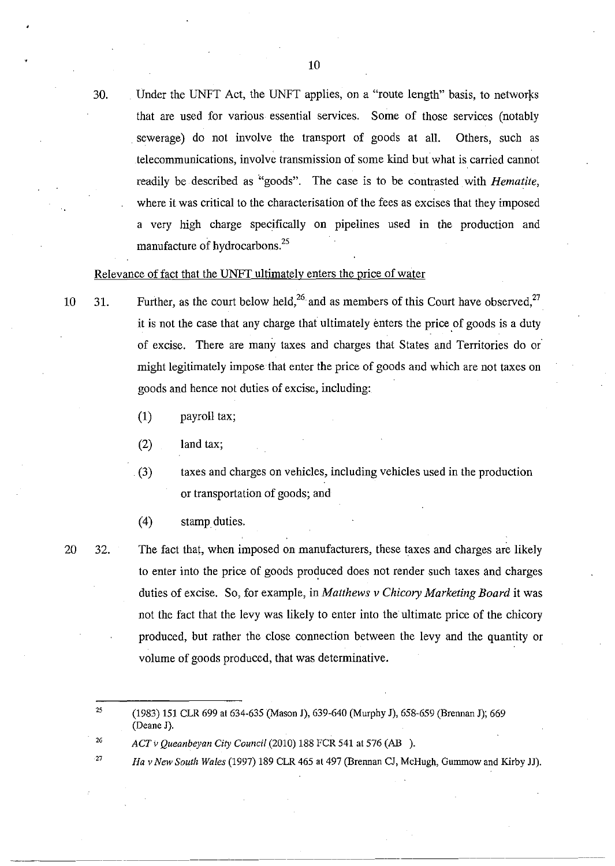30. Under the UNFT Act, the UNFT applies, on a "route length" basis, to networks that are used for various essential services. Some of those services (notably . sewerage) do not involve the transport of goods at all. Others, such as telecommunications, involve transmission of some kind butwhat is carried cannot readily be described as "goods". The case is to be contrasted with *Hematite*, where it was critical to the characterisation of the fees as excises that they imposed a very high charge specifically on pipelines used in the production and manufacture of hydrocarbons.<sup>25</sup>

## Relevance of fact that the UNFr ultimately enters the price of water

- 10 31. Further, as the court below held,<sup>26</sup> and as members of this Court have observed,<sup>27</sup> it is not the case that any charge that ultimately enters the price of goods is a duty of excise. There are many taxes and charges that States and Territories do or' might legitimately impose that enter the price of goods and which are not taxes on goods and hence not duties of excise, including:
	- (1) payroll tax;

(2) land tax;

(3) taxes and charges on vehicles, including vehicles used in the production or transportation of goods; and

(4) stampduties.

20 32.

2G

The fact that, when imposed on manufacturers, these taxes and charges are likely to enter into the price of goods produced does not render such taxes and charges duties of excise. So, for example, in *Matthews v Chicory Marketing Board* it was not the fact that the levy was likely to enter into the ultimate price of the chicory produced, but rather the close connection between the levy and the quantity or volume of goods produced, that was determinative.

27 *Ha* v *New South Wales* (1997) 189 CLR 465 at 497 (Brennan CJ, McHugh, Gummowand Kirby JJ).

<sup>25</sup>  (1983) 151 CLR 699 at 634-635 (Mason J), 639-640 (Murphy J), 658-659 (Brennan J); 669 (Deane J).

*ACT* v *Queanbeyan City Council* (2010) 188 FCR 541 at 576 (AB ).